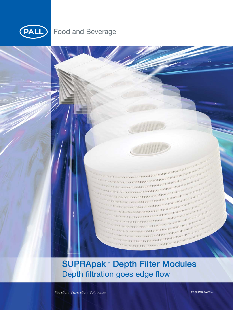

## **Food and Beverage**

**SUPRApak™ Depth Filter Modules** Depth filtration goes edge flow

and and start

ana dagaagayaha

Filtration. Separation. Solution. SM

FBSUPRAPAKENc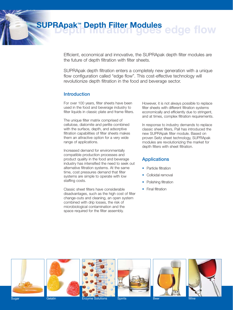Efficient, economical and innovative, the SUPRApak depth filter modules are the future of depth filtration with filter sheets.

SUPRApak depth filtration enters a completely new generation with a unique flow configuration called "edge flow". This cost-effective technology will revolutionize depth filtration in the food and beverage sector.

### **Introduction**

For over 100 years, filter sheets have been used in the food and beverage industry to filter liquids in classic plate and frame filters.

The unique filter matrix comprised of cellulose, diatomite and perlite combined with the surface, depth, and adsorptive filtration capabilities of filter sheets makes them an attractive option for a very wide range of applications.

Increased demand for environmentally compatible production processes and product quality in the food and beverage industry has intensified the need to seek out alternative filtration systems. At the same time, cost pressures demand that filter systems are simple to operate with low staffing costs.

Classic sheet filters have considerable disadvantages, such as the high cost of filter change-outs and cleaning, an open system combined with drip losses, the risk of microbiological contamination and the space required for the filter assembly.

However, it is not always possible to replace filter sheets with different filtration systems economically and efficiently due to stringent, and at times, complex filtration requirements.

In response to industry demands to replace classic sheet filters, Pall has introduced the new SUPRApak filter module. Based on proven Seitz sheet technology, SUPRApak modules are revolutionizing the market for depth filters with sheet filtration.

### **Applications**

- Particle filtration
- Colloidal removal
- Polishing filtration
- Final filtration













Sugar Gelatin Gelatin Enzyme Solutions

Spirits **Beer** Beer Wine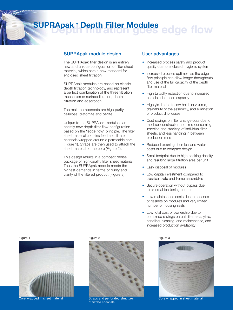### **SUPRApak module design**

The SUPRApak filter design is an entirely new and unique configuration of filter sheet material, which sets a new standard for enclosed sheet filtration.

SUPRApak modules are based on classic depth filtration technology, and represent a perfect combination of the three filtration mechanisms: surface filtration, depth filtration and adsorption.

The main components are high purity cellulose, diatomite and perlite.

Unique to the SUPRApak module is an entirely new depth filter flow configuration based on the "edge flow" principle. The filter sheet material contains feed and filtrate channels wrapped around a permeable core (Figure 1). Straps are then used to attach the sheet material to the core (Figure 2).

This design results in a compact dense package of high-quality filter sheet material. Thus the SUPRApak module meets the highest demands in terms of purity and clarity of the filtered product (Figure 3).

#### **User advantages**

- Increased process safety and product quality due to enclosed, hygienic system
- Increased process uptimes, as the edge flow principle can allow longer throughputs and use of the full capacity of the depth filter material
- High turbidity reduction due to increased particle adsorption capacity
- High yields due to low hold-up volume, drainability of the assembly, and elimination of product drip losses
- Cost savings on filter change-outs due to modular construction, no time-consuming insertion and stacking of individual filter sheets, and less handling in between production runs
- Reduced cleaning chemical and water costs due to compact design
- Small footprint due to high packing density and resulting large filtration area per unit
- Easy disposal of modules
- Low capital investment compared to classical plate and frame assemblies
- Secure operation without bypass due to external tensioning control
- Low maintenance costs due to absence of gaskets on modules and very limited number of housing seals
- Low total cost of ownership due to combined savings on unit filter area, yield, handling, cleaning, and maintenance, and increased production availability



Core wrapped in sheet material Straps and perforated structure



of filtrate channels





Core wrapped in sheet material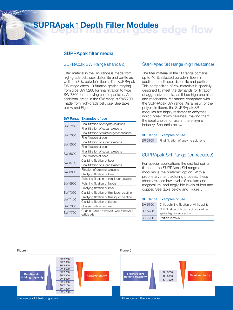#### **SUPRApak filter media**

#### SUPRApak SW Range (standard)

Filter material in the SW range is made from high-grade cellulose, diatomite and perlite as well as <3 % polyolefin fibers. The SUPRApak SW range offers 10 filtration grades ranging from type SW 5200 for final filtration to type SW 7300 for removing coarse particles. An additional grade in the SW range is SW7700, made from high-grade cellulose. See table below and Figure 4.

#### **SW Range Examples of use**

| SW 5200        | Final filtration of enzyme solutions                   |  |
|----------------|--------------------------------------------------------|--|
|                | Final filtration of sugar solutions                    |  |
| SW 5300        | Final filtration of fructooligosaccharides             |  |
|                | Fine filtration of beer                                |  |
| SW 5500        | Final filtration of sugar solutions                    |  |
|                | Fine filtration of beer                                |  |
| SW 5600        | Final filtration of sugar solutions                    |  |
|                | Fine filtration of beer                                |  |
| SW 5700        | Clarifying filtration of beer                          |  |
|                | Final filtration of sugar solutions                    |  |
| SW 5800        | Filtration of enzyme solutions                         |  |
|                | Clarifying filtration of beer                          |  |
| SW 5900        | Polishing filtration of thin liquor gelatine           |  |
|                | Polishing filtration of flavors                        |  |
|                | Clarifying filtration of beer                          |  |
| <b>SW 7000</b> | Clarifying filtration of thin liquor gelatine          |  |
| SW 7100        | Clarifying filtration of thin liquor gelatine          |  |
|                | Clarifying filtration of flavors                       |  |
| <b>SW 7300</b> | Coarse particle removal                                |  |
| SW 7700        | Coarse particle removal; wax removal in<br>edible oils |  |

#### SUPRApak SR Range (high resistance)

The filter material in the SR range contains up to 40 % selected polyolefin fibers in addition to cellulose, diatomite and perlite. This composition of raw materials is specially designed to meet the demands for filtration of aggressive media, as it has high chemical and mechanical resistance compared with the SUPRApak SW range. As a result of the polyolefin fibers, the SUPRApak SR modules are highly resistant to enzymes which break down cellulose, making them the ideal choice for use in the enzyme industry. See table below.

#### **SR Range Examples of use**

SR 5100 Final filtration of enzyme solutions

#### SUPRApak SH Range (ion reduced)

For special applications like distilled spirits filtration, the SUPRApak SH range of modules is the preferred option. With a proprietary manufacturing process, these sheets release low levels of calcium and magnesium, and negligible levels of iron and copper. See table below and Figure 5.

#### **SH Range Examples of use**

| SH 5700 | Chill/polishing filtration of white spirits                               |
|---------|---------------------------------------------------------------------------|
| SH 5900 | Chill filtration of brown spirits or white<br>spirits high in fatty acids |
|         | Particle removal                                                          |
| SH 7200 |                                                                           |



Relative dirt Helative dirt<br>iolding capacity **Relative Contract Contract Contract Contract Contract Contract Contract Contract Contract Contract Contract Contract Contract Contract Contract Contract Contract Contract Contract Contract C** SH 5700 SH 5900 SH 7200

SW range of filtration grades SH range of filtration grades SH range of filtration grades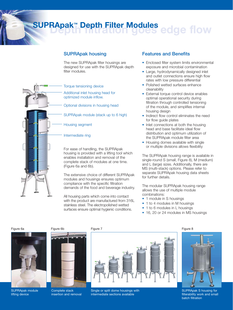## **SUPRApak housing**

The new SUPRApak filter housings are designed for use with the SUPRApak depth filter modules.



#### Torque tensioning device

Additional inlet housing head for optimized module inflow.

Optional divisions in housing head

SUPRApak module (stack up to 6 high)

Housing segment

#### Intermediate ring

For ease of handling, the SUPRApak housing is provided with a lifting tool which enables installation and removal of the complete stack of modules at one time. (Figure 6a and 6b).

The extensive choice of different SUPRApak modules and housings ensures optimum compliance with the specific filtration demands of the food and beverage industry.

All housing parts which come into contact with the product are manufactured from 316L stainless steel. The electropolished wetted surfaces ensure optimal hygienic conditions.

### **Features and Benefits**

- Enclosed filter system limits environmental exposure and microbial contamination
- Large, hydrodynamically designed inlet and outlet connections ensure high flow rates with low pressure differential
- Polished wetted surfaces enhance cleanability
- External torque control device enables optimal operational security during filtration through controlled tensioning of the module, and simplifies internal housing design
- Indirect flow control eliminates the need for flow guide plates
- Inlet connections at both the housing head and base facilitate ideal flow distribution and optimum utilization of the SUPRApak module filter area
- Housing domes available with single or multiple divisions allows flexibility

The SUPRApak housing range is available in single-round S (small, Figure 8), M (medium) and L (large) sizes. Additionally, there are MS (multi-stack) options. Please refer to separate SUPRApak housing data sheets for further details.

The modular SUPRApak housing range allows the use of multiple module combinations:

- 1 module in S housings
- 1 to 4 modules in M housings
- 1 to 6 modules in L housings
- 16, 20 or 24 modules in MS housings



SUPRApak module lifting device



Complete stack insertion and removal



Single or split dome housings with intermediate sections available





SUPRApak S housing for filterability work and small batch filtration